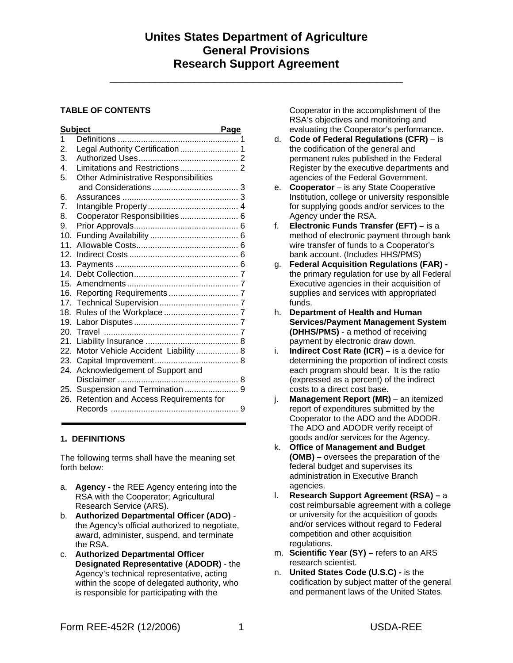**\_\_\_\_\_\_\_\_\_\_\_\_\_\_\_\_\_\_\_\_\_\_\_\_\_\_\_\_\_\_\_\_\_\_\_\_\_\_\_\_\_\_\_\_\_** 

## **TABLE OF CONTENTS**

|                  | <b>Subject</b>                          | <b>Page</b> |
|------------------|-----------------------------------------|-------------|
| 1                |                                         |             |
| 2.               | Legal Authority Certification  1        |             |
| 3.               |                                         |             |
| 4.               |                                         |             |
| 5.               | Other Administrative Responsibilities   |             |
|                  |                                         |             |
| 6.               |                                         |             |
| $\overline{7}$ . |                                         |             |
| 8.               | Cooperator Responsibilities  6          |             |
| 9.               |                                         |             |
| 10.              |                                         |             |
| 11               |                                         |             |
| 12.              |                                         |             |
| 13.              |                                         |             |
|                  |                                         |             |
|                  |                                         |             |
|                  |                                         |             |
|                  |                                         |             |
| 18. .            |                                         |             |
|                  |                                         |             |
|                  |                                         |             |
|                  |                                         |             |
|                  | 22. Motor Vehicle Accident Liability  8 |             |
|                  |                                         |             |
| 24.              | Acknowledgement of Support and          |             |
|                  |                                         |             |
|                  | 25. Suspension and Termination  9       |             |
| 26.              | Retention and Access Requirements for   |             |
|                  |                                         |             |
|                  |                                         |             |

## **1. DEFINITIONS**

The following terms shall have the meaning set forth below:

- a. **Agency** the REE Agency entering into the RSA with the Cooperator; Agricultural Research Service (ARS).
- b. **Authorized Departmental Officer (ADO)** the Agency's official authorized to negotiate, award, administer, suspend, and terminate the RSA.
- c. **Authorized Departmental Officer Designated Representative (ADODR)** - the Agency's technical representative, acting within the scope of delegated authority, who is responsible for participating with the

Cooperator in the accomplishment of the RSA's objectives and monitoring and evaluating the Cooperator's performance.

- d. **Code of Federal Regulations (CFR)** is the codification of the general and permanent rules published in the Federal Register by the executive departments and agencies of the Federal Government.
- e. **Cooperator** is any State Cooperative Institution, college or university responsible for supplying goods and/or services to the Agency under the RSA.
- f. **Electronic Funds Transfer (EFT)** is a method of electronic payment through bank wire transfer of funds to a Cooperator's bank account. (Includes HHS/PMS)
- g. **Federal Acquisition Regulations (FAR)**  the primary regulation for use by all Federal Executive agencies in their acquisition of supplies and services with appropriated funds.
- h. **Department of Health and Human Services/Payment Management System (DHHS/PMS)** - a method of receiving payment by electronic draw down.
- i. **Indirect Cost Rate (ICR)** is a device for determining the proportion of indirect costs each program should bear. It is the ratio (expressed as a percent) of the indirect costs to a direct cost base.
- j. **Management Report (MR)** an itemized report of expenditures submitted by the Cooperator to the ADO and the ADODR. The ADO and ADODR verify receipt of goods and/or services for the Agency.
- k. **Office of Management and Budget (OMB) –** oversees the preparation of the federal budget and supervises its administration in Executive Branch agencies.
- l. **Research Support Agreement (RSA) –** a cost reimbursable agreement with a college or university for the acquisition of goods and/or services without regard to Federal competition and other acquisition regulations.
- m. **Scientific Year (SY) –** refers to an ARS research scientist.
- n. **United States Code (U.S.C)** is the codification by subject matter of the general and permanent laws of the United States.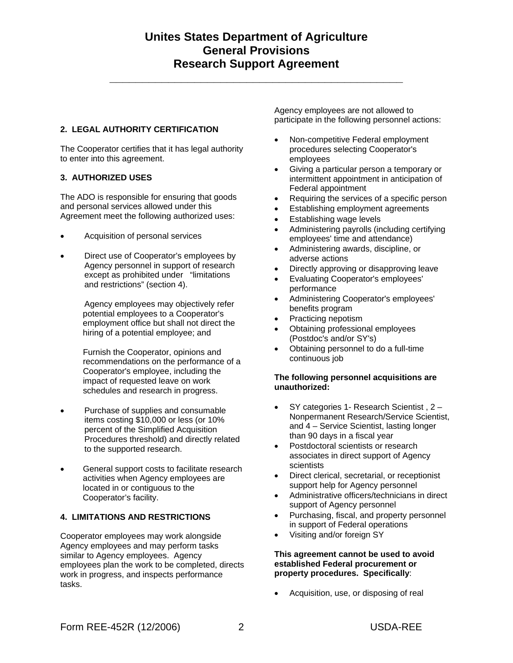**\_\_\_\_\_\_\_\_\_\_\_\_\_\_\_\_\_\_\_\_\_\_\_\_\_\_\_\_\_\_\_\_\_\_\_\_\_\_\_\_\_\_\_\_\_** 

## **2. LEGAL AUTHORITY CERTIFICATION**

The Cooperator certifies that it has legal authority to enter into this agreement.

## **3. AUTHORIZED USES**

The ADO is responsible for ensuring that goods and personal services allowed under this Agreement meet the following authorized uses:

- Acquisition of personal services
- Direct use of Cooperator's employees by Agency personnel in support of research except as prohibited under "limitations and restrictions" (section 4).

Agency employees may objectively refer potential employees to a Cooperator's employment office but shall not direct the hiring of a potential employee; and

Furnish the Cooperator, opinions and recommendations on the performance of a Cooperator's employee, including the impact of requested leave on work schedules and research in progress.

- Purchase of supplies and consumable items costing \$10,000 or less (or 10% percent of the Simplified Acquisition Procedures threshold) and directly related to the supported research.
- General support costs to facilitate research activities when Agency employees are located in or contiguous to the Cooperator's facility.

### **4. LIMITATIONS AND RESTRICTIONS**

Cooperator employees may work alongside Agency employees and may perform tasks similar to Agency employees. Agency employees plan the work to be completed, directs work in progress, and inspects performance tasks.

Agency employees are not allowed to participate in the following personnel actions:

- Non-competitive Federal employment procedures selecting Cooperator's employees
- Giving a particular person a temporary or intermittent appointment in anticipation of Federal appointment
- Requiring the services of a specific person
- Establishing employment agreements
- Establishing wage levels
- Administering payrolls (including certifying employees' time and attendance)
- Administering awards, discipline, or adverse actions
- Directly approving or disapproving leave
- Evaluating Cooperator's employees' performance
- Administering Cooperator's employees' benefits program
- Practicing nepotism
- Obtaining professional employees (Postdoc's and/or SY's)
- Obtaining personnel to do a full-time continuous job

#### **The following personnel acquisitions are unauthorized:**

- SY categories 1- Research Scientist , 2 Nonpermanent Research/Service Scientist, and 4 – Service Scientist, lasting longer than 90 days in a fiscal year
- Postdoctoral scientists or research associates in direct support of Agency scientists
- Direct clerical, secretarial, or receptionist support help for Agency personnel
- Administrative officers/technicians in direct support of Agency personnel
- Purchasing, fiscal, and property personnel in support of Federal operations
- Visiting and/or foreign SY

#### **This agreement cannot be used to avoid established Federal procurement or property procedures. Specifically**:

• Acquisition, use, or disposing of real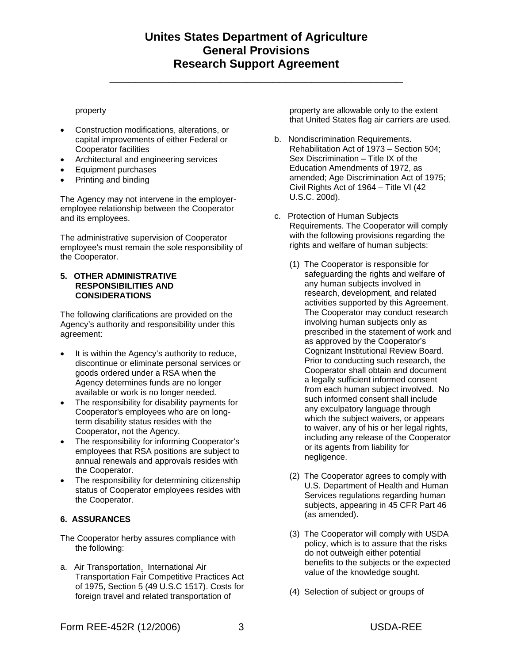**\_\_\_\_\_\_\_\_\_\_\_\_\_\_\_\_\_\_\_\_\_\_\_\_\_\_\_\_\_\_\_\_\_\_\_\_\_\_\_\_\_\_\_\_\_** 

#### property

- Construction modifications, alterations, or capital improvements of either Federal or Cooperator facilities
- Architectural and engineering services
- Equipment purchases
- Printing and binding

The Agency may not intervene in the employeremployee relationship between the Cooperator and its employees.

The administrative supervision of Cooperator employee's must remain the sole responsibility of the Cooperator.

#### **5. OTHER ADMINISTRATIVE RESPONSIBILITIES AND CONSIDERATIONS**

The following clarifications are provided on the Agency's authority and responsibility under this agreement:

- It is within the Agency's authority to reduce, discontinue or eliminate personal services or goods ordered under a RSA when the Agency determines funds are no longer available or work is no longer needed.
- The responsibility for disability payments for Cooperator's employees who are on longterm disability status resides with the Cooperator**,** not the Agency.
- The responsibility for informing Cooperator's employees that RSA positions are subject to annual renewals and approvals resides with the Cooperator.
- The responsibility for determining citizenship status of Cooperator employees resides with the Cooperator.

### **6. ASSURANCES**

The Cooperator herby assures compliance with the following:

a. Air Transportation. International Air Transportation Fair Competitive Practices Act of 1975, Section 5 (49 U.S.C 1517). Costs for foreign travel and related transportation of

property are allowable only to the extent that United States flag air carriers are used.

- b. Nondiscrimination Requirements. Rehabilitation Act of 1973 – Section 504; Sex Discrimination – Title IX of the Education Amendments of 1972, as amended; Age Discrimination Act of 1975; Civil Rights Act of 1964 – Title VI (42 U.S.C. 200d).
- c. Protection of Human Subjects Requirements. The Cooperator will comply with the following provisions regarding the rights and welfare of human subjects:
	- (1) The Cooperator is responsible for safeguarding the rights and welfare of any human subjects involved in research, development, and related activities supported by this Agreement. The Cooperator may conduct research involving human subjects only as prescribed in the statement of work and as approved by the Cooperator's Cognizant Institutional Review Board. Prior to conducting such research, the Cooperator shall obtain and document a legally sufficient informed consent from each human subject involved. No such informed consent shall include any exculpatory language through which the subject waivers, or appears to waiver, any of his or her legal rights, including any release of the Cooperator or its agents from liability for negligence.
	- (2) The Cooperator agrees to comply with U.S. Department of Health and Human Services regulations regarding human subjects, appearing in 45 CFR Part 46 (as amended).
	- (3) The Cooperator will comply with USDA policy, which is to assure that the risks do not outweigh either potential benefits to the subjects or the expected value of the knowledge sought.
	- (4) Selection of subject or groups of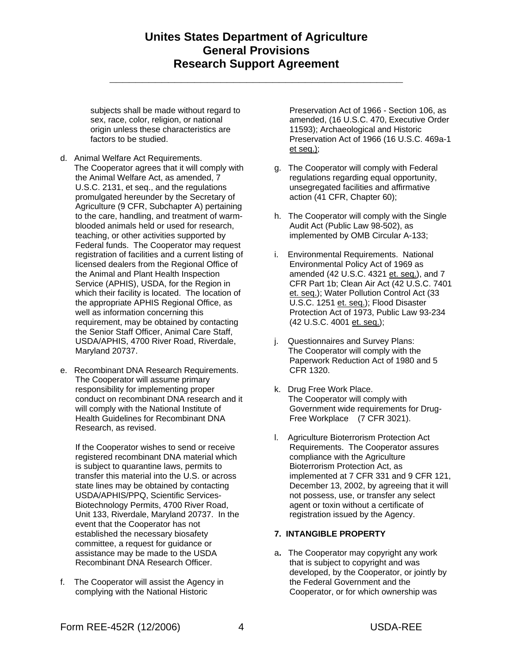**\_\_\_\_\_\_\_\_\_\_\_\_\_\_\_\_\_\_\_\_\_\_\_\_\_\_\_\_\_\_\_\_\_\_\_\_\_\_\_\_\_\_\_\_\_** 

subjects shall be made without regard to sex, race, color, religion, or national origin unless these characteristics are factors to be studied.

- d. Animal Welfare Act Requirements. The Cooperator agrees that it will comply with the Animal Welfare Act, as amended, 7 U.S.C. 2131, et seq., and the regulations promulgated hereunder by the Secretary of Agriculture (9 CFR, Subchapter A) pertaining to the care, handling, and treatment of warmblooded animals held or used for research, teaching, or other activities supported by Federal funds. The Cooperator may request registration of facilities and a current listing of licensed dealers from the Regional Office of the Animal and Plant Health Inspection Service (APHIS), USDA, for the Region in which their facility is located. The location of the appropriate APHIS Regional Office, as well as information concerning this requirement, may be obtained by contacting the Senior Staff Officer, Animal Care Staff, USDA/APHIS, 4700 River Road, Riverdale, Maryland 20737.
- e. Recombinant DNA Research Requirements. The Cooperator will assume primary responsibility for implementing proper conduct on recombinant DNA research and it will comply with the National Institute of Health Guidelines for Recombinant DNA Research, as revised.

If the Cooperator wishes to send or receive registered recombinant DNA material which is subject to quarantine laws, permits to transfer this material into the U.S. or across state lines may be obtained by contacting USDA/APHIS/PPQ, Scientific Services-Biotechnology Permits, 4700 River Road, Unit 133, Riverdale, Maryland 20737. In the event that the Cooperator has not established the necessary biosafety committee, a request for guidance or assistance may be made to the USDA Recombinant DNA Research Officer.

f. The Cooperator will assist the Agency in complying with the National Historic

Preservation Act of 1966 - Section 106, as amended, (16 U.S.C. 470, Executive Order 11593); Archaeological and Historic Preservation Act of 1966 (16 U.S.C. 469a-1 et seq.);

- g. The Cooperator will comply with Federal regulations regarding equal opportunity, unsegregated facilities and affirmative action (41 CFR, Chapter 60);
- h. The Cooperator will comply with the Single Audit Act (Public Law 98-502), as implemented by OMB Circular A-133;
- i. Environmental Requirements. National Environmental Policy Act of 1969 as amended (42 U.S.C. 4321 et. seq.), and 7 CFR Part 1b; Clean Air Act (42 U.S.C. 7401 et. seq.); Water Pollution Control Act (33 U.S.C. 1251 et. seq.); Flood Disaster Protection Act of 1973, Public Law 93-234 (42 U.S.C. 4001 et. seq.);
- j. Questionnaires and Survey Plans: The Cooperator will comply with the Paperwork Reduction Act of 1980 and 5 CFR 1320.
- k. Drug Free Work Place. The Cooperator will comply with Government wide requirements for Drug-Free Workplace (7 CFR 3021).
- l. Agriculture Bioterrorism Protection Act Requirements. The Cooperator assures compliance with the Agriculture Bioterrorism Protection Act, as implemented at 7 CFR 331 and 9 CFR 121, December 13, 2002, by agreeing that it will not possess, use, or transfer any select agent or toxin without a certificate of registration issued by the Agency.

## **7. INTANGIBLE PROPERTY**

a**.** The Cooperator may copyright any work that is subject to copyright and was developed, by the Cooperator, or jointly by the Federal Government and the Cooperator, or for which ownership was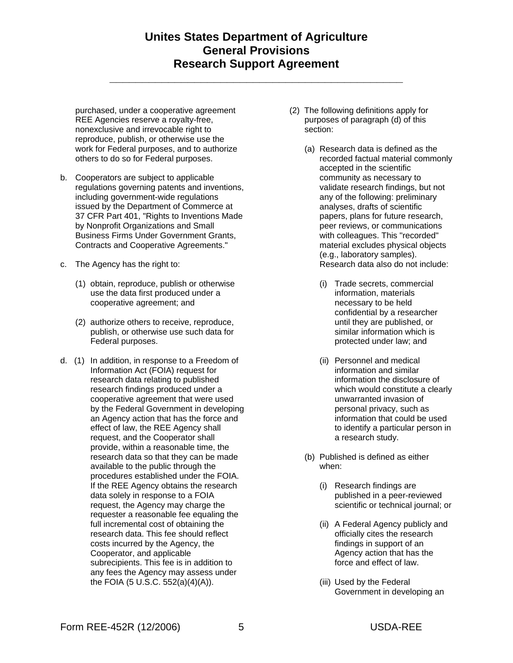**\_\_\_\_\_\_\_\_\_\_\_\_\_\_\_\_\_\_\_\_\_\_\_\_\_\_\_\_\_\_\_\_\_\_\_\_\_\_\_\_\_\_\_\_\_** 

purchased, under a cooperative agreement REE Agencies reserve a royalty-free, nonexclusive and irrevocable right to reproduce, publish, or otherwise use the work for Federal purposes, and to authorize others to do so for Federal purposes.

- b. Cooperators are subject to applicable regulations governing patents and inventions, including government-wide regulations issued by the Department of Commerce at 37 CFR Part 401, "Rights to Inventions Made by Nonprofit Organizations and Small Business Firms Under Government Grants, Contracts and Cooperative Agreements."
- c. The Agency has the right to:
	- (1) obtain, reproduce, publish or otherwise use the data first produced under a cooperative agreement; and
	- (2) authorize others to receive, reproduce, publish, or otherwise use such data for Federal purposes.
- d. (1) In addition, in response to a Freedom of Information Act (FOIA) request for research data relating to published research findings produced under a cooperative agreement that were used by the Federal Government in developing an Agency action that has the force and effect of law, the REE Agency shall request, and the Cooperator shall provide, within a reasonable time, the research data so that they can be made available to the public through the procedures established under the FOIA. If the REE Agency obtains the research data solely in response to a FOIA request, the Agency may charge the requester a reasonable fee equaling the full incremental cost of obtaining the research data. This fee should reflect costs incurred by the Agency, the Cooperator, and applicable subrecipients. This fee is in addition to any fees the Agency may assess under the FOIA (5 U.S.C. 552(a)(4)(A)).
- (2) The following definitions apply for purposes of paragraph (d) of this section:
	- (a) Research data is defined as the recorded factual material commonly accepted in the scientific community as necessary to validate research findings, but not any of the following: preliminary analyses, drafts of scientific papers, plans for future research, peer reviews, or communications with colleagues. This "recorded" material excludes physical objects (e.g., laboratory samples). Research data also do not include:
		- (i) Trade secrets, commercial information, materials necessary to be held confidential by a researcher until they are published, or similar information which is protected under law; and
		- (ii) Personnel and medical information and similar information the disclosure of which would constitute a clearly unwarranted invasion of personal privacy, such as information that could be used to identify a particular person in a research study.
	- (b) Published is defined as either when:
		- (i) Research findings are published in a peer-reviewed scientific or technical journal; or
		- (ii) A Federal Agency publicly and officially cites the research findings in support of an Agency action that has the force and effect of law.
		- (iii) Used by the Federal Government in developing an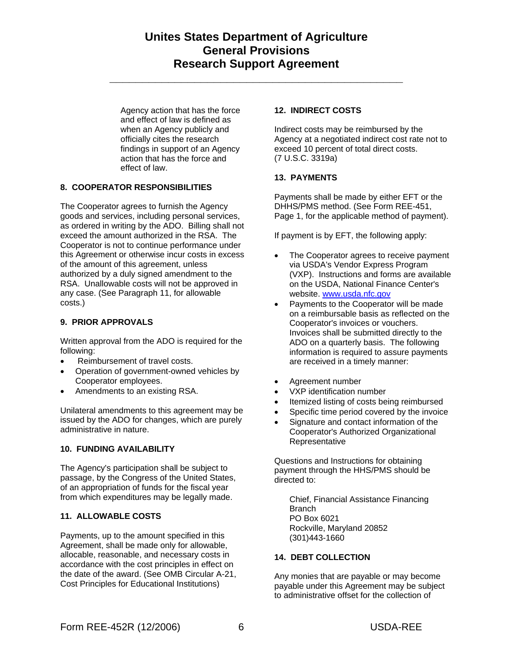**\_\_\_\_\_\_\_\_\_\_\_\_\_\_\_\_\_\_\_\_\_\_\_\_\_\_\_\_\_\_\_\_\_\_\_\_\_\_\_\_\_\_\_\_\_** 

Agency action that has the force and effect of law is defined as when an Agency publicly and officially cites the research findings in support of an Agency action that has the force and effect of law.

## **8. COOPERATOR RESPONSIBILITIES**

The Cooperator agrees to furnish the Agency goods and services, including personal services, as ordered in writing by the ADO. Billing shall not exceed the amount authorized in the RSA. The Cooperator is not to continue performance under this Agreement or otherwise incur costs in excess of the amount of this agreement, unless authorized by a duly signed amendment to the RSA. Unallowable costs will not be approved in any case. (See Paragraph 11, for allowable costs.)

### **9. PRIOR APPROVALS**

Written approval from the ADO is required for the following:

- Reimbursement of travel costs.
- Operation of government-owned vehicles by Cooperator employees.
- Amendments to an existing RSA.

Unilateral amendments to this agreement may be issued by the ADO for changes, which are purely administrative in nature.

#### **10. FUNDING AVAILABILITY**

The Agency's participation shall be subject to passage, by the Congress of the United States, of an appropriation of funds for the fiscal year from which expenditures may be legally made.

## **11. ALLOWABLE COSTS**

Payments, up to the amount specified in this Agreement, shall be made only for allowable, allocable, reasonable, and necessary costs in accordance with the cost principles in effect on the date of the award. (See OMB Circular A-21, Cost Principles for Educational Institutions)

#### **12. INDIRECT COSTS**

Indirect costs may be reimbursed by the Agency at a negotiated indirect cost rate not to exceed 10 percent of total direct costs. (7 U.S.C. 3319a)

### **13. PAYMENTS**

Payments shall be made by either EFT or the DHHS/PMS method. (See Form REE-451, Page 1, for the applicable method of payment).

If payment is by EFT, the following apply:

- The Cooperator agrees to receive payment via USDA's Vendor Express Program (VXP). Instructions and forms are available on the USDA, National Finance Center's website. www.usda.nfc.gov
- Payments to the Cooperator will be made on a reimbursable basis as reflected on the Cooperator's invoices or vouchers. Invoices shall be submitted directly to the ADO on a quarterly basis. The following information is required to assure payments are received in a timely manner:
- Agreement number
- VXP identification number
- Itemized listing of costs being reimbursed
- Specific time period covered by the invoice
- Signature and contact information of the Cooperator's Authorized Organizational Representative

Questions and Instructions for obtaining payment through the HHS/PMS should be directed to:

 Chief, Financial Assistance Financing **Branch**  PO Box 6021 Rockville, Maryland 20852 (301)443-1660

### **14. DEBT COLLECTION**

Any monies that are payable or may become payable under this Agreement may be subject to administrative offset for the collection of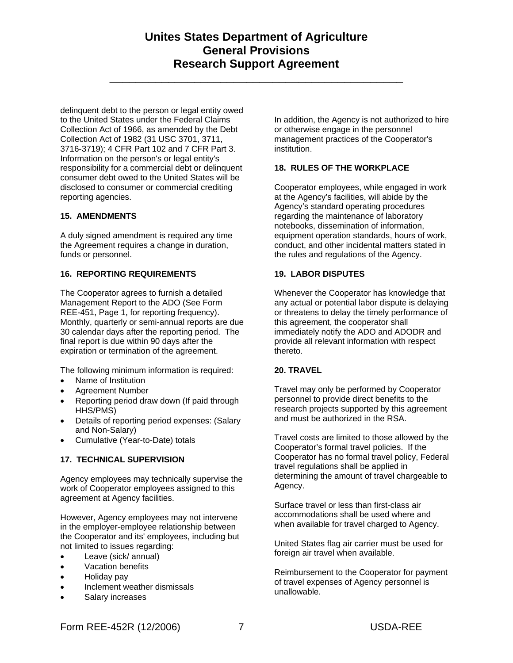**\_\_\_\_\_\_\_\_\_\_\_\_\_\_\_\_\_\_\_\_\_\_\_\_\_\_\_\_\_\_\_\_\_\_\_\_\_\_\_\_\_\_\_\_\_** 

delinquent debt to the person or legal entity owed to the United States under the Federal Claims Collection Act of 1966, as amended by the Debt Collection Act of 1982 (31 USC 3701, 3711, 3716-3719); 4 CFR Part 102 and 7 CFR Part 3. Information on the person's or legal entity's responsibility for a commercial debt or delinquent consumer debt owed to the United States will be disclosed to consumer or commercial crediting reporting agencies.

### **15. AMENDMENTS**

A duly signed amendment is required any time the Agreement requires a change in duration, funds or personnel.

#### **16. REPORTING REQUIREMENTS**

The Cooperator agrees to furnish a detailed Management Report to the ADO (See Form REE-451, Page 1, for reporting frequency). Monthly, quarterly or semi-annual reports are due 30 calendar days after the reporting period. The final report is due within 90 days after the expiration or termination of the agreement.

The following minimum information is required:

- Name of Institution
- Agreement Number
- Reporting period draw down (If paid through HHS/PMS)
- Details of reporting period expenses: (Salary and Non-Salary)
- Cumulative (Year-to-Date) totals

#### **17. TECHNICAL SUPERVISION**

Agency employees may technically supervise the work of Cooperator employees assigned to this agreement at Agency facilities.

However, Agency employees may not intervene in the employer-employee relationship between the Cooperator and its' employees, including but not limited to issues regarding:

- Leave (sick/ annual)
- Vacation benefits
- Holiday pay
- Inclement weather dismissals
- Salary increases

In addition, the Agency is not authorized to hire or otherwise engage in the personnel management practices of the Cooperator's institution.

## **18. RULES OF THE WORKPLACE**

Cooperator employees, while engaged in work at the Agency's facilities, will abide by the Agency's standard operating procedures regarding the maintenance of laboratory notebooks, dissemination of information, equipment operation standards, hours of work, conduct, and other incidental matters stated in the rules and regulations of the Agency.

#### **19. LABOR DISPUTES**

Whenever the Cooperator has knowledge that any actual or potential labor dispute is delaying or threatens to delay the timely performance of this agreement, the cooperator shall immediately notify the ADO and ADODR and provide all relevant information with respect thereto.

#### **20. TRAVEL**

Travel may only be performed by Cooperator personnel to provide direct benefits to the research projects supported by this agreement and must be authorized in the RSA.

Travel costs are limited to those allowed by the Cooperator's formal travel policies. If the Cooperator has no formal travel policy, Federal travel regulations shall be applied in determining the amount of travel chargeable to Agency.

Surface travel or less than first-class air accommodations shall be used where and when available for travel charged to Agency.

United States flag air carrier must be used for foreign air travel when available.

Reimbursement to the Cooperator for payment of travel expenses of Agency personnel is unallowable.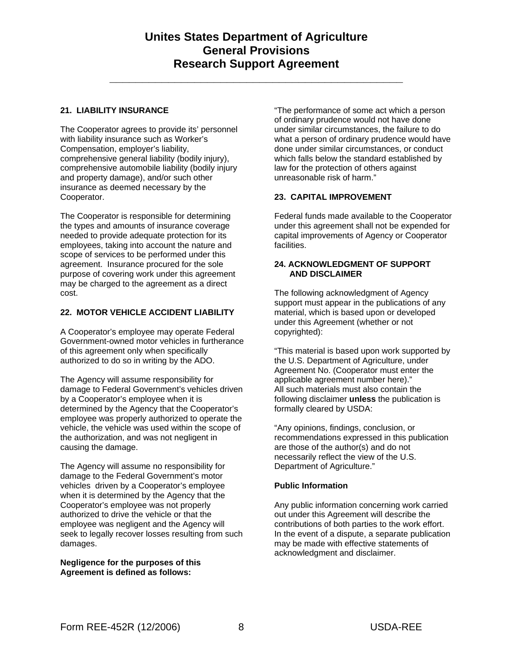**\_\_\_\_\_\_\_\_\_\_\_\_\_\_\_\_\_\_\_\_\_\_\_\_\_\_\_\_\_\_\_\_\_\_\_\_\_\_\_\_\_\_\_\_\_** 

#### **21. LIABILITY INSURANCE**

The Cooperator agrees to provide its' personnel with liability insurance such as Worker's Compensation, employer's liability, comprehensive general liability (bodily injury), comprehensive automobile liability (bodily injury and property damage), and/or such other insurance as deemed necessary by the Cooperator.

The Cooperator is responsible for determining the types and amounts of insurance coverage needed to provide adequate protection for its employees, taking into account the nature and scope of services to be performed under this agreement. Insurance procured for the sole purpose of covering work under this agreement may be charged to the agreement as a direct cost.

#### **22. MOTOR VEHICLE ACCIDENT LIABILITY**

A Cooperator's employee may operate Federal Government-owned motor vehicles in furtherance of this agreement only when specifically authorized to do so in writing by the ADO.

The Agency will assume responsibility for damage to Federal Government's vehicles driven by a Cooperator's employee when it is determined by the Agency that the Cooperator's employee was properly authorized to operate the vehicle, the vehicle was used within the scope of the authorization, and was not negligent in causing the damage.

The Agency will assume no responsibility for damage to the Federal Government's motor vehicles driven by a Cooperator's employee when it is determined by the Agency that the Cooperator's employee was not properly authorized to drive the vehicle or that the employee was negligent and the Agency will seek to legally recover losses resulting from such damages.

**Negligence for the purposes of this Agreement is defined as follows:** 

"The performance of some act which a person of ordinary prudence would not have done under similar circumstances, the failure to do what a person of ordinary prudence would have done under similar circumstances, or conduct which falls below the standard established by law for the protection of others against unreasonable risk of harm."

#### **23. CAPITAL IMPROVEMENT**

Federal funds made available to the Cooperator under this agreement shall not be expended for capital improvements of Agency or Cooperator facilities.

#### **24. ACKNOWLEDGMENT OF SUPPORT AND DISCLAIMER**

The following acknowledgment of Agency support must appear in the publications of any material, which is based upon or developed under this Agreement (whether or not copyrighted):

"This material is based upon work supported by the U.S. Department of Agriculture, under Agreement No. (Cooperator must enter the applicable agreement number here)." All such materials must also contain the following disclaimer **unless** the publication is formally cleared by USDA:

"Any opinions, findings, conclusion, or recommendations expressed in this publication are those of the author(s) and do not necessarily reflect the view of the U.S. Department of Agriculture."

### **Public Information**

Any public information concerning work carried out under this Agreement will describe the contributions of both parties to the work effort. In the event of a dispute, a separate publication may be made with effective statements of acknowledgment and disclaimer.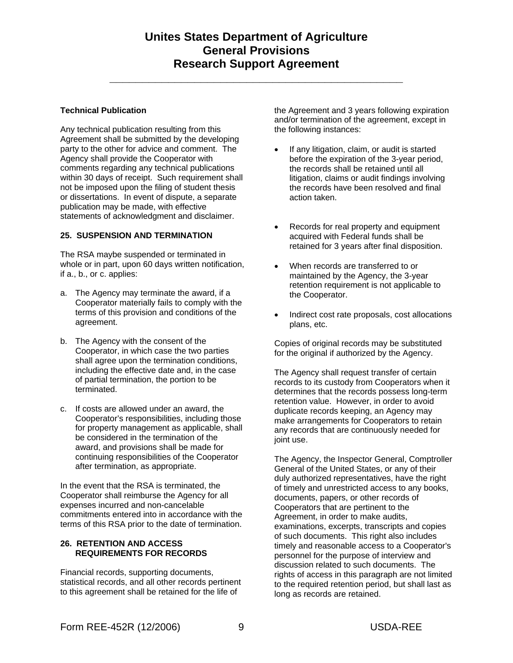**\_\_\_\_\_\_\_\_\_\_\_\_\_\_\_\_\_\_\_\_\_\_\_\_\_\_\_\_\_\_\_\_\_\_\_\_\_\_\_\_\_\_\_\_\_** 

#### **Technical Publication**

Any technical publication resulting from this Agreement shall be submitted by the developing party to the other for advice and comment. The Agency shall provide the Cooperator with comments regarding any technical publications within 30 days of receipt. Such requirement shall not be imposed upon the filing of student thesis or dissertations. In event of dispute, a separate publication may be made, with effective statements of acknowledgment and disclaimer.

#### **25. SUSPENSION AND TERMINATION**

The RSA maybe suspended or terminated in whole or in part, upon 60 days written notification, if a., b., or c. applies:

- a. The Agency may terminate the award, if a Cooperator materially fails to comply with the terms of this provision and conditions of the agreement.
- b. The Agency with the consent of the Cooperator, in which case the two parties shall agree upon the termination conditions, including the effective date and, in the case of partial termination, the portion to be terminated.
- c. If costs are allowed under an award, the Cooperator's responsibilities, including those for property management as applicable, shall be considered in the termination of the award, and provisions shall be made for continuing responsibilities of the Cooperator after termination, as appropriate.

In the event that the RSA is terminated, the Cooperator shall reimburse the Agency for all expenses incurred and non-cancelable commitments entered into in accordance with the terms of this RSA prior to the date of termination.

### **26. RETENTION AND ACCESS REQUIREMENTS FOR RECORDS**

Financial records, supporting documents, statistical records, and all other records pertinent to this agreement shall be retained for the life of

the Agreement and 3 years following expiration and/or termination of the agreement, except in the following instances:

- If any litigation, claim, or audit is started before the expiration of the 3-year period, the records shall be retained until all litigation, claims or audit findings involving the records have been resolved and final action taken.
- Records for real property and equipment acquired with Federal funds shall be retained for 3 years after final disposition.
- When records are transferred to or maintained by the Agency, the 3-year retention requirement is not applicable to the Cooperator.
- Indirect cost rate proposals, cost allocations plans, etc.

Copies of original records may be substituted for the original if authorized by the Agency.

The Agency shall request transfer of certain records to its custody from Cooperators when it determines that the records possess long-term retention value. However, in order to avoid duplicate records keeping, an Agency may make arrangements for Cooperators to retain any records that are continuously needed for joint use.

The Agency, the Inspector General, Comptroller General of the United States, or any of their duly authorized representatives, have the right of timely and unrestricted access to any books, documents, papers, or other records of Cooperators that are pertinent to the Agreement, in order to make audits, examinations, excerpts, transcripts and copies of such documents. This right also includes timely and reasonable access to a Cooperator's personnel for the purpose of interview and discussion related to such documents. The rights of access in this paragraph are not limited to the required retention period, but shall last as long as records are retained.